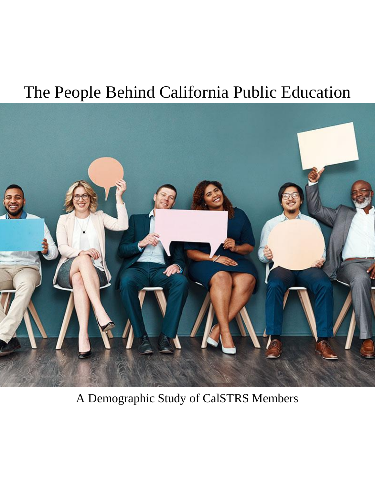# The People Behind California Public Education



A Demographic Study of CalSTRS Members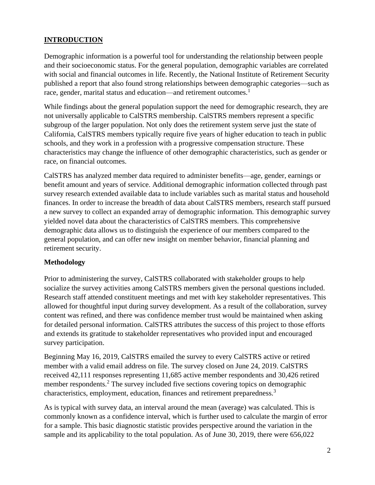# <span id="page-2-0"></span>**INTRODUCTION**

Demographic information is a powerful tool for understanding the relationship between people and their socioeconomic status. For the general population, demographic variables are correlated with social and financial outcomes in life. Recently, the National Institute of Retirement Security published a report that also found strong relationships between demographic categories—such as race, gender, marital status and education—and retirement outcomes.<sup>1</sup>

While findings about the general population support the need for demographic research, they are not universally applicable to CalSTRS membership. CalSTRS members represent a specific subgroup of the larger population. Not only does the retirement system serve just the state of California, CalSTRS members typically require five years of higher education to teach in public schools, and they work in a profession with a progressive compensation structure. These characteristics may change the influence of other demographic characteristics, such as gender or race, on financial outcomes.

CalSTRS has analyzed member data required to administer benefits—age, gender, earnings or benefit amount and years of service. Additional demographic information collected through past survey research extended available data to include variables such as marital status and household finances. In order to increase the breadth of data about CalSTRS members, research staff pursued a new survey to collect an expanded array of demographic information. This demographic survey yielded novel data about the characteristics of CalSTRS members. This comprehensive demographic data allows us to distinguish the experience of our members compared to the general population, and can offer new insight on member behavior, financial planning and retirement security.

# <span id="page-2-1"></span>**Methodology**

Prior to administering the survey, CalSTRS collaborated with stakeholder groups to help socialize the survey activities among CalSTRS members given the personal questions included. Research staff attended constituent meetings and met with key stakeholder representatives. This allowed for thoughtful input during survey development. As a result of the collaboration, survey content was refined, and there was confidence member trust would be maintained when asking for detailed personal information. CalSTRS attributes the success of this project to those efforts and extends its gratitude to stakeholder representatives who provided input and encouraged survey participation.

Beginning May 16, 2019, CalSTRS emailed the survey to every CalSTRS active or retired member with a valid email address on file. The survey closed on June 24, 2019. CalSTRS received 42,111 responses representing 11,685 active member respondents and 30,426 retired member respondents.<sup>2</sup> The survey included five sections covering topics on demographic characteristics, employment, education, finances and retirement preparedness.<sup>3</sup>

As is typical with survey data, an interval around the mean (average) was calculated. This is commonly known as a confidence interval, which is further used to calculate the margin of error for a sample. This basic diagnostic statistic provides perspective around the variation in the sample and its applicability to the total population. As of June 30, 2019, there were 656,022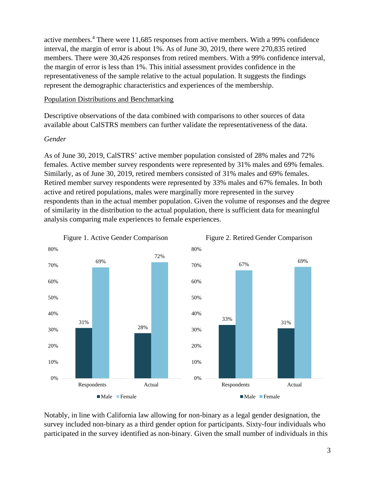active members.<sup>4</sup> There were 11,685 responses from active members. With a 99% confidence interval, the margin of error is about 1%. As of June 30, 2019, there were 270,835 retired members. There were 30,426 responses from retired members. With a 99% confidence interval, the margin of error is less than 1%. This initial assessment provides confidence in the representativeness of the sample relative to the actual population. It suggests the findings represent the demographic characteristics and experiences of the membership.

# <span id="page-3-0"></span>Population Distributions and Benchmarking

Descriptive observations of the data combined with comparisons to other sources of data available about CalSTRS members can further validate the representativeness of the data.

## *Gender*

As of June 30, 2019, CalSTRS' active member population consisted of 28% males and 72% females. Active member survey respondents were represented by 31% males and 69% females. Similarly, as of June 30, 2019, retired members consisted of 31% males and 69% females. Retired member survey respondents were represented by 33% males and 67% females. In both active and retired populations, males were marginally more represented in the survey respondents than in the actual member population. Given the volume of responses and the degree of similarity in the distribution to the actual population, there is sufficient data for meaningful analysis comparing male experiences to female experiences.



Notably, in line with California law allowing for non-binary as a legal gender designation, the survey included non-binary as a third gender option for participants. Sixty-four individuals who participated in the survey identified as non-binary. Given the small number of individuals in this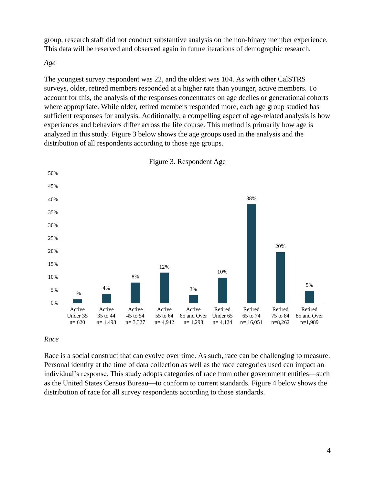group, research staff did not conduct substantive analysis on the non-binary member experience. This data will be reserved and observed again in future iterations of demographic research.

## *Age*

The youngest survey respondent was 22, and the oldest was 104. As with other CalSTRS surveys, older, retired members responded at a higher rate than younger, active members. To account for this, the analysis of the responses concentrates on age deciles or generational cohorts where appropriate. While older, retired members responded more, each age group studied has sufficient responses for analysis. Additionally, a compelling aspect of age-related analysis is how experiences and behaviors differ across the life course. This method is primarily how age is analyzed in this study. Figure 3 below shows the age groups used in the analysis and the distribution of all respondents according to those age groups.



Figure 3. Respondent Age

# *Race*

Race is a social construct that can evolve over time. As such, race can be challenging to measure. Personal identity at the time of data collection as well as the race categories used can impact an individual's response. This study adopts categories of race from other government entities—such as the United States Census Bureau—to conform to current standards. Figure 4 below shows the distribution of race for all survey respondents according to those standards.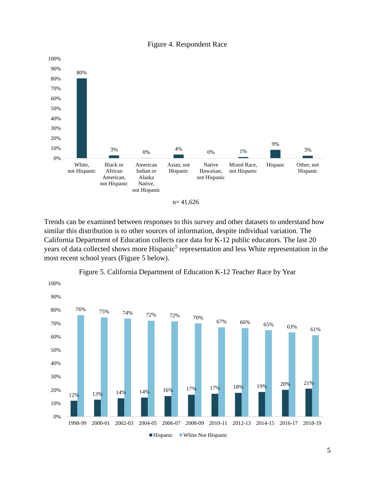





Trends can be examined between responses to this survey and other datasets to understand how similar this distribution is to other sources of information, despite individual variation. The California Department of Education collects race data for K-12 public educators. The last 20 years of data collected shows more Hispanic<sup>5</sup> representation and less White representation in the most recent school years (Figure 5 below).



Figure 5. California Department of Education K-12 Teacher Race by Year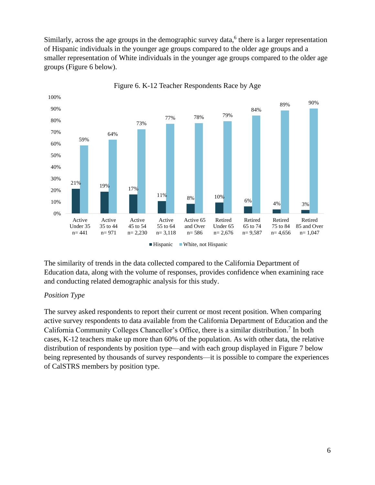Similarly, across the age groups in the demographic survey data,<sup>6</sup> there is a larger representation of Hispanic individuals in the younger age groups compared to the older age groups and a smaller representation of White individuals in the younger age groups compared to the older age groups (Figure 6 below).



Figure 6. K-12 Teacher Respondents Race by Age

The similarity of trends in the data collected compared to the California Department of Education data, along with the volume of responses, provides confidence when examining race and conducting related demographic analysis for this study.

# *Position Type*

The survey asked respondents to report their current or most recent position. When comparing active survey respondents to data available from the California Department of Education and the California Community Colleges Chancellor's Office, there is a similar distribution.<sup>7</sup> In both cases, K-12 teachers make up more than 60% of the population. As with other data, the relative distribution of respondents by position type—and with each group displayed in Figure 7 below being represented by thousands of survey respondents—it is possible to compare the experiences of CalSTRS members by position type.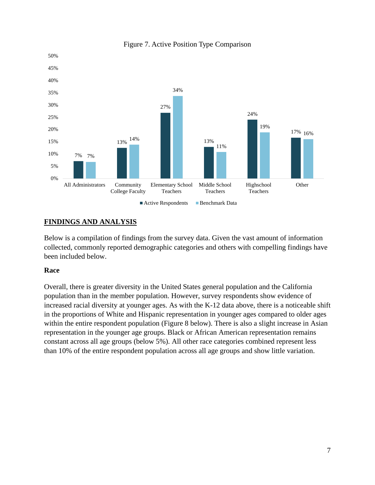

# Figure 7. Active Position Type Comparison

# <span id="page-7-0"></span>**FINDINGS AND ANALYSIS**

Below is a compilation of findings from the survey data. Given the vast amount of information collected, commonly reported demographic categories and others with compelling findings have been included below.

# <span id="page-7-1"></span>**Race**

Overall, there is greater diversity in the United States general population and the California population than in the member population. However, survey respondents show evidence of increased racial diversity at younger ages. As with the K-12 data above, there is a noticeable shift in the proportions of White and Hispanic representation in younger ages compared to older ages within the entire respondent population (Figure 8 below). There is also a slight increase in Asian representation in the younger age groups. Black or African American representation remains constant across all age groups (below 5%). All other race categories combined represent less than 10% of the entire respondent population across all age groups and show little variation.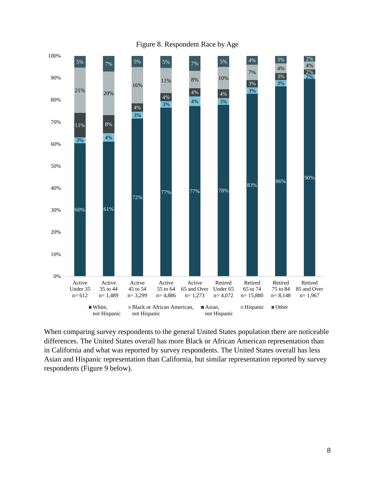

Figure 8. Respondent Race by Age

When comparing survey respondents to the general United States population there are noticeable differences. The United States overall has more Black or African American representation than in California and what was reported by survey respondents. The United States overall has less Asian and Hispanic representation than California, but similar representation reported by survey respondents (Figure 9 below).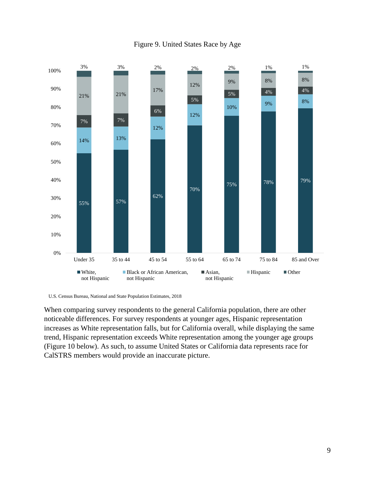

Figure 9. United States Race by Age

U.S. Census Bureau, National and State Population Estimates, 2018

When comparing survey respondents to the general California population, there are other noticeable differences. For survey respondents at younger ages, Hispanic representation increases as White representation falls, but for California overall, while displaying the same trend, Hispanic representation exceeds White representation among the younger age groups (Figure 10 below). As such, to assume United States or California data represents race for CalSTRS members would provide an inaccurate picture.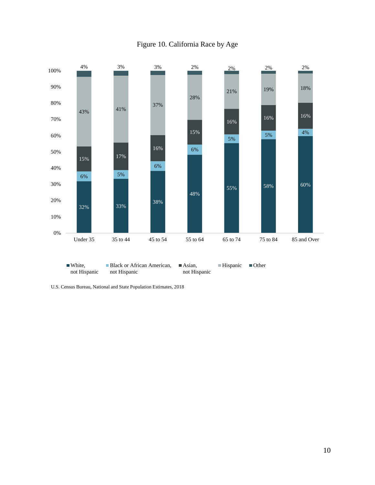

# Figure 10. California Race by Age

U.S. Census Bureau, National and State Population Estimates, 2018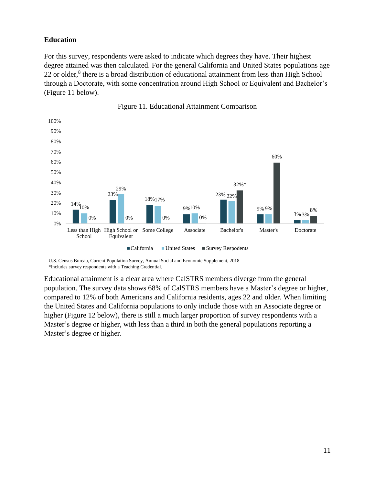# <span id="page-11-0"></span>**Education**

For this survey, respondents were asked to indicate which degrees they have. Their highest degree attained was then calculated. For the general California and United States populations age 22 or older,<sup>8</sup> there is a broad distribution of educational attainment from less than High School through a Doctorate, with some concentration around High School or Equivalent and Bachelor's (Figure 11 below).





U.S. Census Bureau, Current Population Survey, Annual Social and Economic Supplement, 2018 \*Includes survey respondents with a Teaching Credential.

Educational attainment is a clear area where CalSTRS members diverge from the general population. The survey data shows 68% of CalSTRS members have a Master's degree or higher, compared to 12% of both Americans and California residents, ages 22 and older. When limiting the United States and California populations to only include those with an Associate degree or higher (Figure 12 below), there is still a much larger proportion of survey respondents with a Master's degree or higher, with less than a third in both the general populations reporting a Master's degree or higher.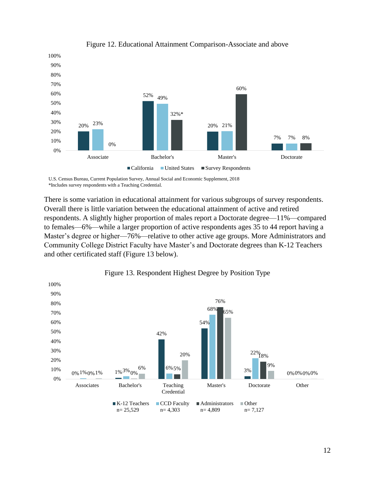

Figure 12. Educational Attainment Comparison-Associate and above

U.S. Census Bureau, Current Population Survey, Annual Social and Economic Supplement, 2018 \*Includes survey respondents with a Teaching Credential.

There is some variation in educational attainment for various subgroups of survey respondents. Overall there is little variation between the educational attainment of active and retired respondents. A slightly higher proportion of males report a Doctorate degree—11%—compared to females—6%—while a larger proportion of active respondents ages 35 to 44 report having a Master's degree or higher—76%—relative to other active age groups. More Administrators and Community College District Faculty have Master's and Doctorate degrees than K-12 Teachers and other certificated staff (Figure 13 below).



Figure 13. Respondent Highest Degree by Position Type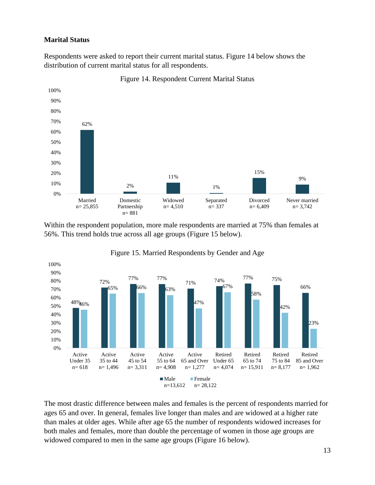## <span id="page-13-0"></span>**Marital Status**

Respondents were asked to report their current marital status. Figure 14 below shows the distribution of current marital status for all respondents.



Figure 14. Respondent Current Marital Status

Within the respondent population, more male respondents are married at 75% than females at 56%. This trend holds true across all age groups (Figure 15 below).





The most drastic difference between males and females is the percent of respondents married for ages 65 and over. In general, females live longer than males and are widowed at a higher rate than males at older ages. While after age 65 the number of respondents widowed increases for both males and females, more than double the percentage of women in those age groups are widowed compared to men in the same age groups (Figure 16 below).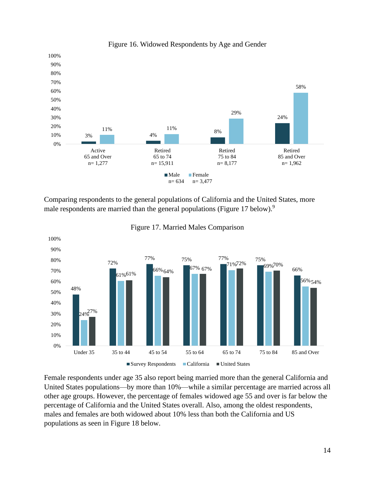

Figure 16. Widowed Respondents by Age and Gender

Comparing respondents to the general populations of California and the United States, more male respondents are married than the general populations (Figure 17 below).<sup>9</sup>



Figure 17. Married Males Comparison

Female respondents under age 35 also report being married more than the general California and United States populations—by more than 10%—while a similar percentage are married across all other age groups. However, the percentage of females widowed age 55 and over is far below the percentage of California and the United States overall. Also, among the oldest respondents, males and females are both widowed about 10% less than both the California and US populations as seen in Figure 18 below.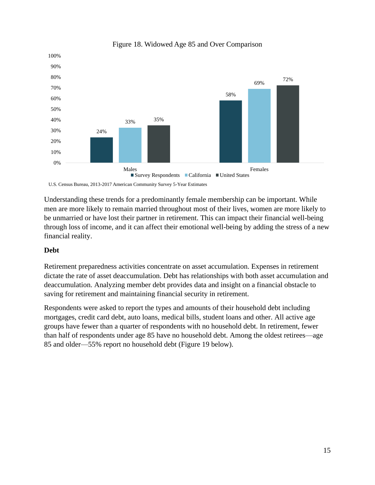

## Figure 18. Widowed Age 85 and Over Comparison

U.S. Census Bureau, 2013-2017 American Community Survey 5-Year Estimates

Understanding these trends for a predominantly female membership can be important. While men are more likely to remain married throughout most of their lives, women are more likely to be unmarried or have lost their partner in retirement. This can impact their financial well-being through loss of income, and it can affect their emotional well-being by adding the stress of a new financial reality.

## <span id="page-15-0"></span>**Debt**

Retirement preparedness activities concentrate on asset accumulation. Expenses in retirement dictate the rate of asset deaccumulation. Debt has relationships with both asset accumulation and deaccumulation. Analyzing member debt provides data and insight on a financial obstacle to saving for retirement and maintaining financial security in retirement.

Respondents were asked to report the types and amounts of their household debt including mortgages, credit card debt, auto loans, medical bills, student loans and other. All active age groups have fewer than a quarter of respondents with no household debt. In retirement, fewer than half of respondents under age 85 have no household debt. Among the oldest retirees—age 85 and older—55% report no household debt (Figure 19 below).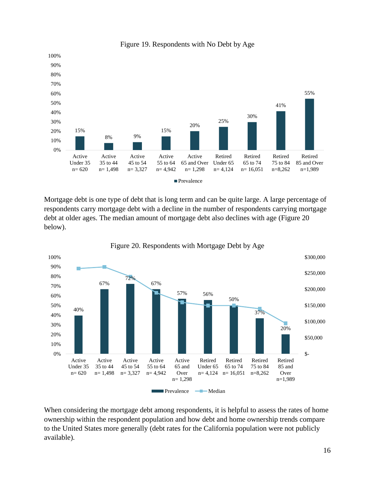

Figure 19. Respondents with No Debt by Age

Mortgage debt is one type of debt that is long term and can be quite large. A large percentage of respondents carry mortgage debt with a decline in the number of respondents carrying mortgage debt at older ages. The median amount of mortgage debt also declines with age (Figure 20 below).



Figure 20. Respondents with Mortgage Debt by Age

When considering the mortgage debt among respondents, it is helpful to assess the rates of home ownership within the respondent population and how debt and home ownership trends compare to the United States more generally (debt rates for the California population were not publicly available).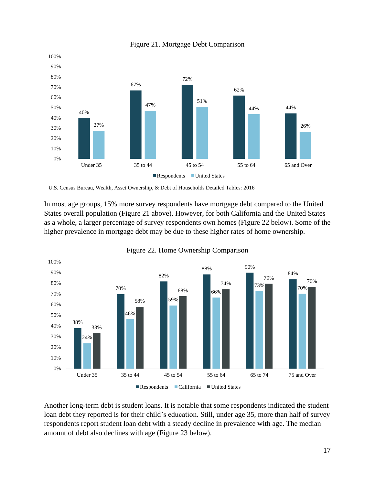

Figure 21. Mortgage Debt Comparison

U.S. Census Bureau, Wealth, Asset Ownership, & Debt of Households Detailed Tables: 2016

In most age groups, 15% more survey respondents have mortgage debt compared to the United States overall population (Figure 21 above). However, for both California and the United States as a whole, a larger percentage of survey respondents own homes (Figure 22 below). Some of the higher prevalence in mortgage debt may be due to these higher rates of home ownership.



Figure 22. Home Ownership Comparison

Another long-term debt is student loans. It is notable that some respondents indicated the student loan debt they reported is for their child's education. Still, under age 35, more than half of survey respondents report student loan debt with a steady decline in prevalence with age. The median amount of debt also declines with age (Figure 23 below).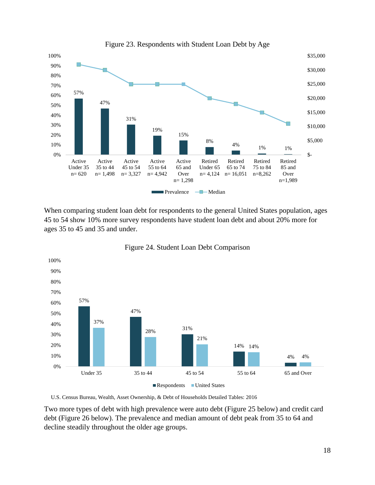

When comparing student loan debt for respondents to the general United States population, ages 45 to 54 show 10% more survey respondents have student loan debt and about 20% more for ages 35 to 45 and 35 and under.





U.S. Census Bureau, Wealth, Asset Ownership, & Debt of Households Detailed Tables: 2016

Two more types of debt with high prevalence were auto debt (Figure 25 below) and credit card debt (Figure 26 below). The prevalence and median amount of debt peak from 35 to 64 and decline steadily throughout the older age groups.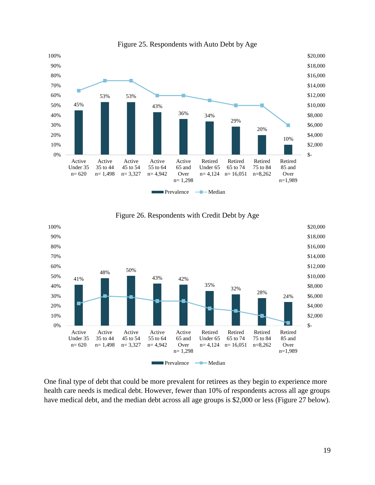

Figure 25. Respondents with Auto Debt by Age



Figure 26. Respondents with Credit Debt by Age

One final type of debt that could be more prevalent for retirees as they begin to experience more health care needs is medical debt. However, fewer than 10% of respondents across all age groups have medical debt, and the median debt across all age groups is \$2,000 or less (Figure 27 below).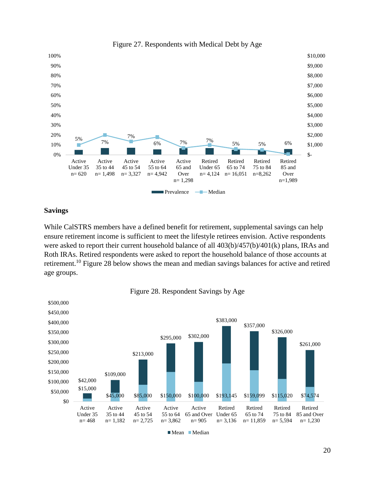



## <span id="page-20-0"></span>**Savings**

While CalSTRS members have a defined benefit for retirement, supplemental savings can help ensure retirement income is sufficient to meet the lifestyle retirees envision. Active respondents were asked to report their current household balance of all 403(b)/457(b)/401(k) plans, IRAs and Roth IRAs. Retired respondents were asked to report the household balance of those accounts at retirement.<sup>10</sup> Figure 28 below shows the mean and median savings balances for active and retired age groups.



Figure 28. Respondent Savings by Age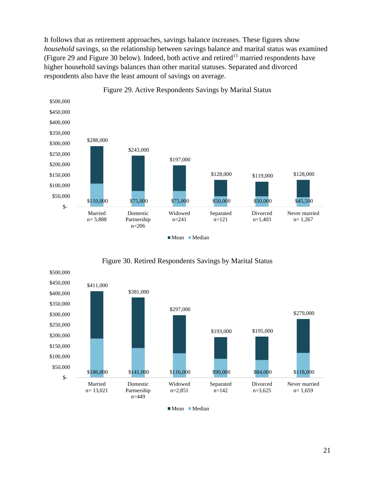It follows that as retirement approaches, savings balance increases. These figures show *household* savings, so the relationship between savings balance and marital status was examined (Figure 29 and Figure 30 below). Indeed, both active and retired<sup>11</sup> married respondents have higher household savings balances than other marital statuses. Separated and divorced respondents also have the least amount of savings on average.



Figure 29. Active Respondents Savings by Marital Status



Figure 30. Retired Respondents Savings by Marital Status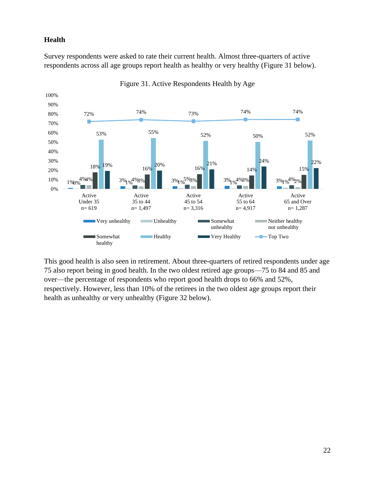# <span id="page-22-0"></span>**Health**

Survey respondents were asked to rate their current health. Almost three-quarters of active respondents across all age groups report health as healthy or very healthy (Figure 31 below).



Figure 31. Active Respondents Health by Age

This good health is also seen in retirement. About three-quarters of retired respondents under age 75 also report being in good health. In the two oldest retired age groups—75 to 84 and 85 and over—the percentage of respondents who report good health drops to 66% and 52%, respectively. However, less than 10% of the retirees in the two oldest age groups report their health as unhealthy or very unhealthy (Figure 32 below).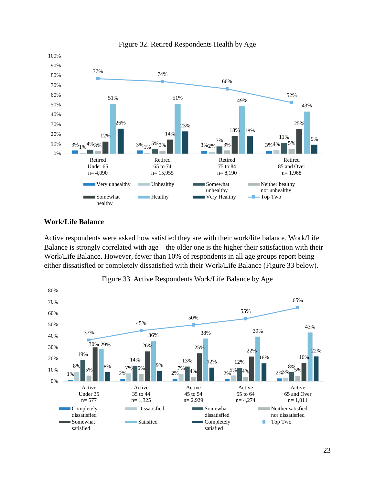

#### Figure 32. Retired Respondents Health by Age

## <span id="page-23-0"></span>**Work/Life Balance**

Active respondents were asked how satisfied they are with their work/life balance. Work/Life Balance is strongly correlated with age—the older one is the higher their satisfaction with their Work/Life Balance. However, fewer than 10% of respondents in all age groups report being either dissatisfied or completely dissatisfied with their Work/Life Balance (Figure 33 below).



Figure 33. Active Respondents Work/Life Balance by Age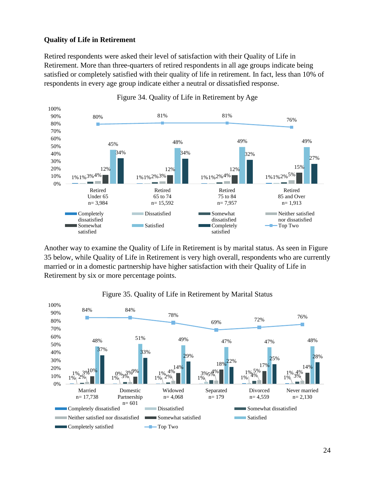## <span id="page-24-0"></span>**Quality of Life in Retirement**

Retired respondents were asked their level of satisfaction with their Quality of Life in Retirement. More than three-quarters of retired respondents in all age groups indicate being satisfied or completely satisfied with their quality of life in retirement. In fact, less than 10% of respondents in every age group indicate either a neutral or dissatisfied response.



Figure 34. Quality of Life in Retirement by Age

Another way to examine the Quality of Life in Retirement is by marital status. As seen in Figure 35 below, while Quality of Life in Retirement is very high overall, respondents who are currently married or in a domestic partnership have higher satisfaction with their Quality of Life in Retirement by six or more percentage points.



## Figure 35. Quality of Life in Retirement by Marital Status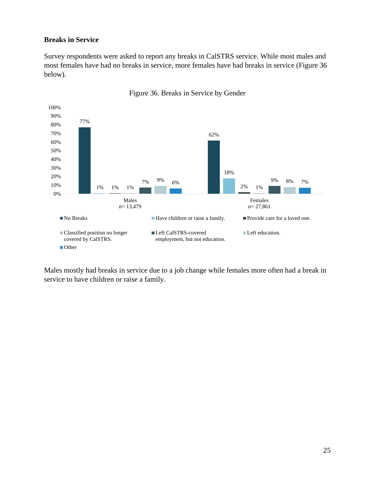## <span id="page-25-0"></span>**Breaks in Service**

Survey respondents were asked to report any breaks in CalSTRS service. While most males and most females have had no breaks in service, more females have had breaks in service (Figure 36 below).



Figure 36. Breaks in Service by Gender

Males mostly had breaks in service due to a job change while females more often had a break in service to have children or raise a family.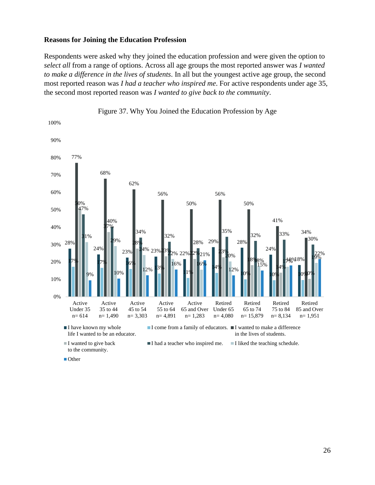#### <span id="page-26-0"></span>**Reasons for Joining the Education Profession**

Respondents were asked why they joined the education profession and were given the option to *select all* from a range of options. Across all age groups the most reported answer was *I wanted to make a difference in the lives of students*. In all but the youngest active age group, the second most reported reason was *I had a teacher who inspired me*. For active respondents under age 35, the second most reported reason was *I wanted to give back to the community*.



26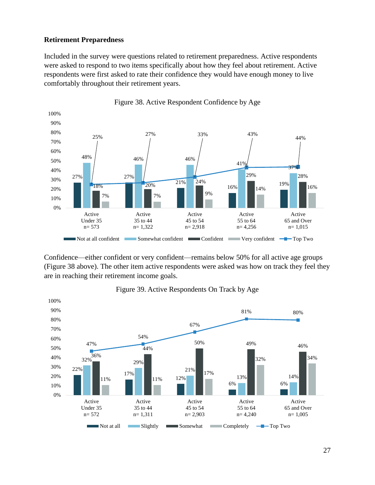## <span id="page-27-0"></span>**Retirement Preparedness**

Included in the survey were questions related to retirement preparedness. Active respondents were asked to respond to two items specifically about how they feel about retirement. Active respondents were first asked to rate their confidence they would have enough money to live comfortably throughout their retirement years.



Figure 38. Active Respondent Confidence by Age

Confidence—either confident or very confident—remains below 50% for all active age groups (Figure 38 above). The other item active respondents were asked was how on track they feel they are in reaching their retirement income goals.



Figure 39. Active Respondents On Track by Age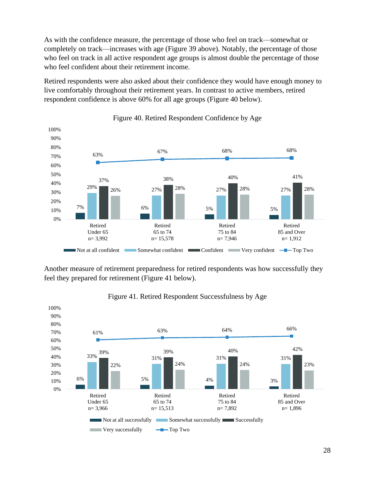As with the confidence measure, the percentage of those who feel on track—somewhat or completely on track—increases with age (Figure 39 above). Notably, the percentage of those who feel on track in all active respondent age groups is almost double the percentage of those who feel confident about their retirement income.

Retired respondents were also asked about their confidence they would have enough money to live comfortably throughout their retirement years. In contrast to active members, retired respondent confidence is above 60% for all age groups (Figure 40 below).



Figure 40. Retired Respondent Confidence by Age

Another measure of retirement preparedness for retired respondents was how successfully they feel they prepared for retirement (Figure 41 below).



# Figure 41. Retired Respondent Successfulness by Age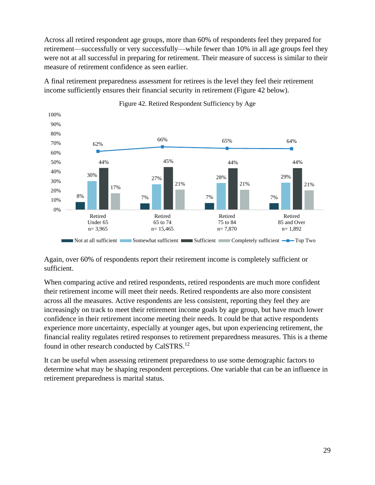Across all retired respondent age groups, more than 60% of respondents feel they prepared for retirement—successfully or very successfully—while fewer than 10% in all age groups feel they were not at all successful in preparing for retirement. Their measure of success is similar to their measure of retirement confidence as seen earlier.

A final retirement preparedness assessment for retirees is the level they feel their retirement income sufficiently ensures their financial security in retirement (Figure 42 below).



Figure 42. Retired Respondent Sufficiency by Age

Again, over 60% of respondents report their retirement income is completely sufficient or sufficient.

When comparing active and retired respondents, retired respondents are much more confident their retirement income will meet their needs. Retired respondents are also more consistent across all the measures. Active respondents are less consistent, reporting they feel they are increasingly on track to meet their retirement income goals by age group, but have much lower confidence in their retirement income meeting their needs. It could be that active respondents experience more uncertainty, especially at younger ages, but upon experiencing retirement, the financial reality regulates retired responses to retirement preparedness measures. This is a theme found in other research conducted by CalSTRS.<sup>12</sup>

It can be useful when assessing retirement preparedness to use some demographic factors to determine what may be shaping respondent perceptions. One variable that can be an influence in retirement preparedness is marital status.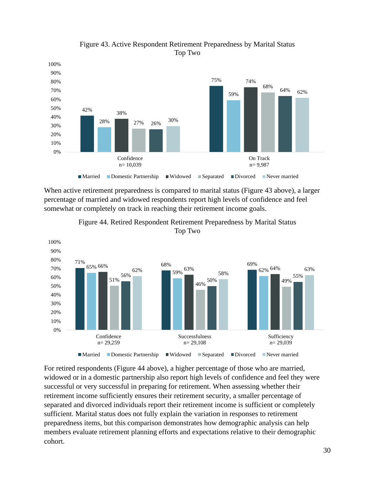

Figure 43. Active Respondent Retirement Preparedness by Marital Status Top Two

When active retirement preparedness is compared to marital status (Figure 43 above), a larger percentage of married and widowed respondents report high levels of confidence and feel somewhat or completely on track in reaching their retirement income goals.





For retired respondents (Figure 44 above), a higher percentage of those who are married, widowed or in a domestic partnership also report high levels of confidence and feel they were successful or very successful in preparing for retirement. When assessing whether their retirement income sufficiently ensures their retirement security, a smaller percentage of separated and divorced individuals report their retirement income is sufficient or completely sufficient. Marital status does not fully explain the variation in responses to retirement preparedness items, but this comparison demonstrates how demographic analysis can help members evaluate retirement planning efforts and expectations relative to their demographic cohort.